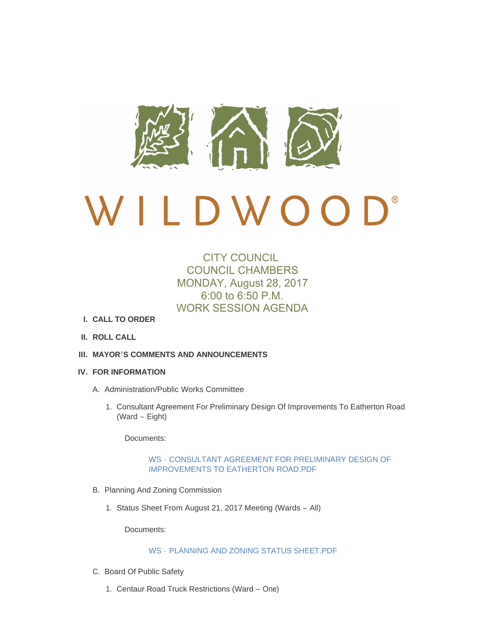

# $\bigcup$ <sup>®</sup> D W O O

# CITY COUNCIL COUNCIL CHAMBERS MONDAY, August 28, 2017 6:00 to 6:50 P.M. WORK SESSION AGENDA

- **CALL TO ORDER I.**
- **ROLL CALL II.**
- **MAYOR'S COMMENTS AND ANNOUNCEMENTS III.**
- **FOR INFORMATION IV.**
	- A. Administration/Public Works Committee
		- 1. Consultant Agreement For Preliminary Design Of Improvements To Eatherton Road (Ward – Eight)

Documents:

## WS - [CONSULTANT AGREEMENT FOR PRELIMINARY DESIGN OF](http://cityofwildwood.com/AgendaCenter/ViewFile/Item/12040?fileID=17455)  IMPROVEMENTS TO EATHERTON ROAD.PDF

- B. Planning And Zoning Commission
	- 1. Status Sheet From August 21, 2017 Meeting (Wards All)

Documents:

## WS - [PLANNING AND ZONING STATUS SHEET.PDF](http://cityofwildwood.com/AgendaCenter/ViewFile/Item/12042?fileID=17456)

- C. Board Of Public Safety
	- 1. Centaur Road Truck Restrictions (Ward One)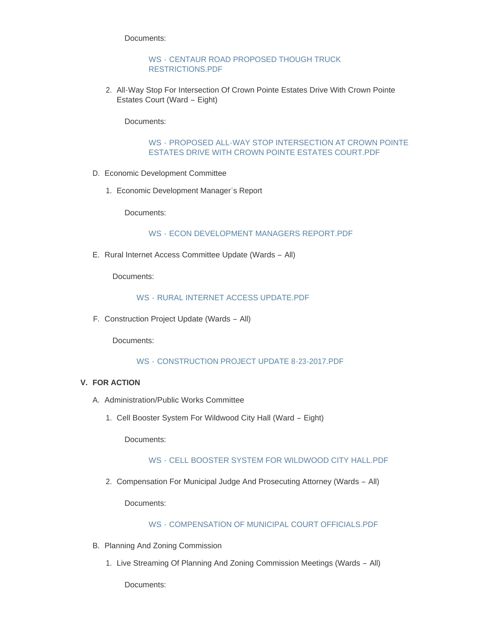Documents:

WS - [CENTAUR ROAD PROPOSED THOUGH TRUCK](http://cityofwildwood.com/AgendaCenter/ViewFile/Item/12044?fileID=17457)  RESTRICTIONS.PDF

2. All-Way Stop For Intersection Of Crown Pointe Estates Drive With Crown Pointe Estates Court (Ward – Eight)

Documents:

WS - [PROPOSED ALL-WAY STOP INTERSECTION AT CROWN POINTE](http://cityofwildwood.com/AgendaCenter/ViewFile/Item/12045?fileID=17476)  ESTATES DRIVE WITH CROWN POINTE ESTATES COURT.PDF

- D. Economic Development Committee
	- Economic Development Manager's Report 1.

Documents:

WS - [ECON DEVELOPMENT MANAGERS REPORT.PDF](http://cityofwildwood.com/AgendaCenter/ViewFile/Item/12047?fileID=17459)

E. Rural Internet Access Committee Update (Wards - All)

Documents:

## WS - [RURAL INTERNET ACCESS UPDATE.PDF](http://cityofwildwood.com/AgendaCenter/ViewFile/Item/12048?fileID=17460)

F. Construction Project Update (Wards - All)

Documents:

WS - [CONSTRUCTION PROJECT UPDATE 8-23-2017.PDF](http://cityofwildwood.com/AgendaCenter/ViewFile/Item/12049?fileID=17461)

# **FOR ACTION V.**

- A. Administration/Public Works Committee
	- 1. Cell Booster System For Wildwood City Hall (Ward Eight)

Documents:

# WS - [CELL BOOSTER SYSTEM FOR WILDWOOD CITY HALL.PDF](http://cityofwildwood.com/AgendaCenter/ViewFile/Item/12052?fileID=17462)

2. Compensation For Municipal Judge And Prosecuting Attorney (Wards - All)

Documents:

## WS - [COMPENSATION OF MUNICIPAL COURT OFFICIALS.PDF](http://cityofwildwood.com/AgendaCenter/ViewFile/Item/12053?fileID=17463)

- B. Planning And Zoning Commission
	- 1. Live Streaming Of Planning And Zoning Commission Meetings (Wards All)

Documents: